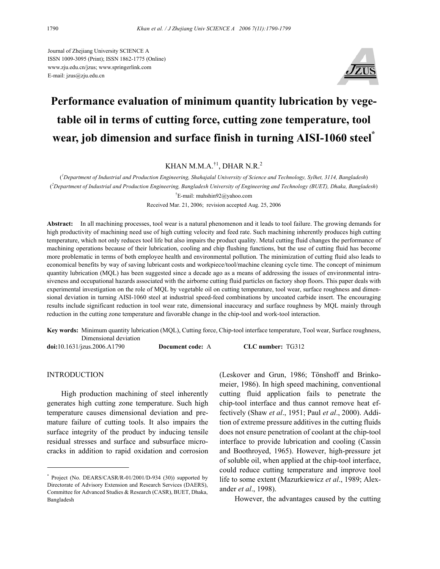Journal of Zhejiang University SCIENCE A ISSN 1009-3095 (Print); ISSN 1862-1775 (Online) www.zju.edu.cn/jzus; www.springerlink.com E-mail: jzus@zju.edu.cn



# **Performance evaluation of minimum quantity lubrication by vegetable oil in terms of cutting force, cutting zone temperature, tool wear, job dimension and surface finish in turning AISI-1060 steel\***

KHAN M.M.A. $^{\dagger1}$ , DHAR N.R.<sup>2</sup>

( *1 Department of Industrial and Production Engineering, Shahajalal University of Science and Technology, Sylhet, 3114, Bangladesh*) ( *2 Department of Industrial and Production Engineering, Bangladesh University of Engineering and Technology (BUET), Dhaka, Bangladesh*) † E-mail: muhshin92@yahoo.com

Received Mar. 21, 2006; revision accepted Aug. 25, 2006

**Abstract:** In all machining processes, tool wear is a natural phenomenon and it leads to tool failure. The growing demands for high productivity of machining need use of high cutting velocity and feed rate. Such machining inherently produces high cutting temperature, which not only reduces tool life but also impairs the product quality. Metal cutting fluid changes the performance of machining operations because of their lubrication, cooling and chip flushing functions, but the use of cutting fluid has become more problematic in terms of both employee health and environmental pollution. The minimization of cutting fluid also leads to economical benefits by way of saving lubricant costs and workpiece/tool/machine cleaning cycle time. The concept of minimum quantity lubrication (MQL) has been suggested since a decade ago as a means of addressing the issues of environmental intrusiveness and occupational hazards associated with the airborne cutting fluid particles on factory shop floors. This paper deals with experimental investigation on the role of MQL by vegetable oil on cutting temperature, tool wear, surface roughness and dimensional deviation in turning AISI-1060 steel at industrial speed-feed combinations by uncoated carbide insert. The encouraging results include significant reduction in tool wear rate, dimensional inaccuracy and surface roughness by MQL mainly through reduction in the cutting zone temperature and favorable change in the chip-tool and work-tool interaction.

**Key words:** Minimum quantity lubrication (MQL), Cutting force, Chip-tool interface temperature, Tool wear, Surface roughness, Dimensional deviation

**doi:**10.1631/jzus.2006.A1790 **Document code:** A **CLC number:** TG312

#### **INTRODUCTION**

High production machining of steel inherently generates high cutting zone temperature. Such high temperature causes dimensional deviation and premature failure of cutting tools. It also impairs the surface integrity of the product by inducing tensile residual stresses and surface and subsurface microcracks in addition to rapid oxidation and corrosion

(Leskover and Grun, 1986; Tönshoff and Brinkomeier, 1986). In high speed machining, conventional cutting fluid application fails to penetrate the chip-tool interface and thus cannot remove heat effectively (Shaw *et al*., 1951; Paul *et al*., 2000). Addition of extreme pressure additives in the cutting fluids does not ensure penetration of coolant at the chip-tool interface to provide lubrication and cooling (Cassin and Boothroyed, 1965). However, high-pressure jet of soluble oil, when applied at the chip-tool interface, could reduce cutting temperature and improve tool life to some extent (Mazurkiewicz *et al*., 1989; Alexander *et al*., 1998).

However, the advantages caused by the cutting

<sup>\*</sup> Project (No. DEARS/CASR/R-01/2001/D-934 (30)) supported by Directorate of Advisory Extension and Research Services (DAERS), Committee for Advanced Studies & Research (CASR), BUET, Dhaka, Bangladesh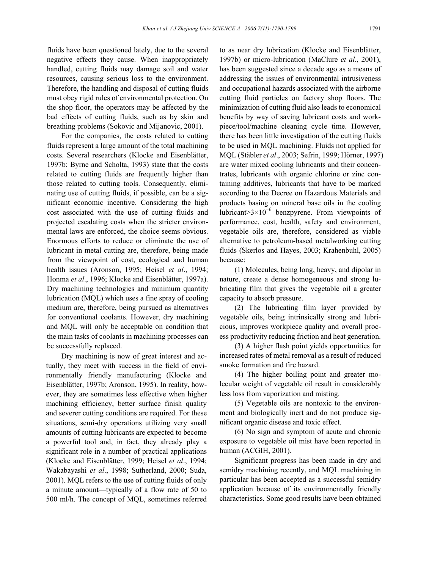fluids have been questioned lately, due to the several negative effects they cause. When inappropriately handled, cutting fluids may damage soil and water resources, causing serious loss to the environment. Therefore, the handling and disposal of cutting fluids must obey rigid rules of environmental protection. On the shop floor, the operators may be affected by the bad effects of cutting fluids, such as by skin and breathing problems (Sokovic and Mijanovic, 2001).

For the companies, the costs related to cutting fluids represent a large amount of the total machining costs. Several researchers (Klocke and Eisenblätter, 1997b; Byrne and Scholta, 1993) state that the costs related to cutting fluids are frequently higher than those related to cutting tools. Consequently, eliminating use of cutting fluids, if possible, can be a significant economic incentive. Considering the high cost associated with the use of cutting fluids and projected escalating costs when the stricter environmental laws are enforced, the choice seems obvious. Enormous efforts to reduce or eliminate the use of lubricant in metal cutting are, therefore, being made from the viewpoint of cost, ecological and human health issues (Aronson, 1995; Heisel *et al*., 1994; Honma *et al*., 1996; Klocke and Eisenblätter, 1997a). Dry machining technologies and minimum quantity lubrication (MQL) which uses a fine spray of cooling medium are, therefore, being pursued as alternatives for conventional coolants. However, dry machining and MQL will only be acceptable on condition that the main tasks of coolants in machining processes can be successfully replaced.

Dry machining is now of great interest and actually, they meet with success in the field of environmentally friendly manufacturing (Klocke and Eisenblätter, 1997b; Aronson, 1995). In reality, however, they are sometimes less effective when higher machining efficiency, better surface finish quality and severer cutting conditions are required. For these situations, semi-dry operations utilizing very small amounts of cutting lubricants are expected to become a powerful tool and, in fact, they already play a significant role in a number of practical applications (Klocke and Eisenblätter, 1999; Heisel *et al*., 1994; Wakabayashi *et al*., 1998; Sutherland, 2000; Suda, 2001). MQL refers to the use of cutting fluids of only a minute amount—typically of a flow rate of 50 to 500 ml/h. The concept of MQL, sometimes referred to as near dry lubrication (Klocke and Eisenblätter, 1997b) or micro-lubrication (MaClure *et al*., 2001), has been suggested since a decade ago as a means of addressing the issues of environmental intrusiveness and occupational hazards associated with the airborne cutting fluid particles on factory shop floors. The minimization of cutting fluid also leads to economical benefits by way of saving lubricant costs and workpiece/tool/machine cleaning cycle time. However, there has been little investigation of the cutting fluids to be used in MQL machining. Fluids not applied for MQL (Stäbler *et al*., 2003; Sefrin, 1999; Hörner, 1997) are water mixed cooling lubricants and their concentrates, lubricants with organic chlorine or zinc containing additives, lubricants that have to be marked according to the Decree on Hazardous Materials and products basing on mineral base oils in the cooling lubricant>3×10<sup>−</sup><sup>6</sup> benzpyrene. From viewpoints of performance, cost, health, safety and environment, vegetable oils are, therefore, considered as viable alternative to petroleum-based metalworking cutting fluids (Skerlos and Hayes, 2003; Krahenbuhl, 2005) because:

(1) Molecules, being long, heavy, and dipolar in nature, create a dense homogeneous and strong lubricating film that gives the vegetable oil a greater capacity to absorb pressure.

(2) The lubricating film layer provided by vegetable oils, being intrinsically strong and lubricious, improves workpiece quality and overall process productivity reducing friction and heat generation.

(3) A higher flash point yields opportunities for increased rates of metal removal as a result of reduced smoke formation and fire hazard.

(4) The higher boiling point and greater molecular weight of vegetable oil result in considerably less loss from vaporization and misting.

(5) Vegetable oils are nontoxic to the environment and biologically inert and do not produce significant organic disease and toxic effect.

(6) No sign and symptom of acute and chronic exposure to vegetable oil mist have been reported in human (ACGIH, 2001).

Significant progress has been made in dry and semidry machining recently, and MQL machining in particular has been accepted as a successful semidry application because of its environmentally friendly characteristics. Some good results have been obtained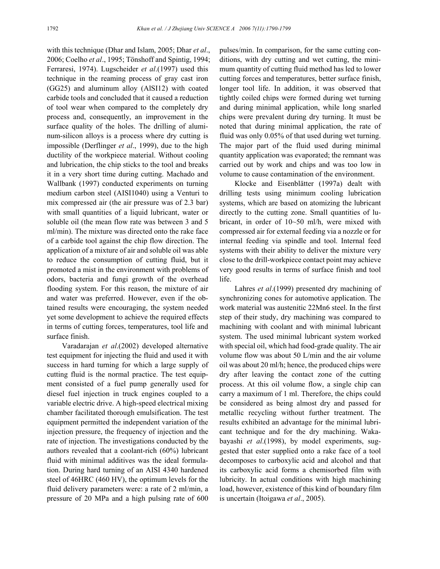with this technique (Dhar and Islam, 2005; Dhar *et al*., 2006; Coelho *et al*., 1995; Tönshoff and Spintig, 1994; Ferraresi, 1974). Lugscheider *et al*.(1997) used this technique in the reaming process of gray cast iron (GG25) and aluminum alloy (AlSI12) with coated carbide tools and concluded that it caused a reduction of tool wear when compared to the completely dry process and, consequently, an improvement in the surface quality of the holes. The drilling of aluminum-silicon alloys is a process where dry cutting is impossible (Derflinger *et al*., 1999), due to the high ductility of the workpiece material. Without cooling and lubrication, the chip sticks to the tool and breaks it in a very short time during cutting. Machado and Wallbank (1997) conducted experiments on turning medium carbon steel (AISI1040) using a Venturi to mix compressed air (the air pressure was of 2.3 bar) with small quantities of a liquid lubricant, water or soluble oil (the mean flow rate was between 3 and 5 ml/min). The mixture was directed onto the rake face of a carbide tool against the chip flow direction. The application of a mixture of air and soluble oil was able to reduce the consumption of cutting fluid, but it promoted a mist in the environment with problems of odors, bacteria and fungi growth of the overhead flooding system. For this reason, the mixture of air and water was preferred. However, even if the obtained results were encouraging, the system needed yet some development to achieve the required effects in terms of cutting forces, temperatures, tool life and surface finish.

Varadarajan *et al*.(2002) developed alternative test equipment for injecting the fluid and used it with success in hard turning for which a large supply of cutting fluid is the normal practice. The test equipment consisted of a fuel pump generally used for diesel fuel injection in truck engines coupled to a variable electric drive. A high-speed electrical mixing chamber facilitated thorough emulsification. The test equipment permitted the independent variation of the injection pressure, the frequency of injection and the rate of injection. The investigations conducted by the authors revealed that a coolant-rich (60%) lubricant fluid with minimal additives was the ideal formulation. During hard turning of an AISI 4340 hardened steel of 46HRC (460 HV), the optimum levels for the fluid delivery parameters were: a rate of 2 ml/min, a pressure of 20 MPa and a high pulsing rate of 600

pulses/min. In comparison, for the same cutting conditions, with dry cutting and wet cutting, the minimum quantity of cutting fluid method has led to lower cutting forces and temperatures, better surface finish, longer tool life. In addition, it was observed that tightly coiled chips were formed during wet turning and during minimal application, while long snarled chips were prevalent during dry turning. It must be noted that during minimal application, the rate of fluid was only 0.05% of that used during wet turning. The major part of the fluid used during minimal quantity application was evaporated; the remnant was carried out by work and chips and was too low in volume to cause contamination of the environment.

Klocke and Eisenblätter (1997a) dealt with drilling tests using minimum cooling lubrication systems, which are based on atomizing the lubricant directly to the cutting zone. Small quantities of lubricant, in order of 10~50 ml/h, were mixed with compressed air for external feeding via a nozzle or for internal feeding via spindle and tool. Internal feed systems with their ability to deliver the mixture very close to the drill-workpiece contact point may achieve very good results in terms of surface finish and tool life.

Lahres *et al*.(1999) presented dry machining of synchronizing cones for automotive application. The work material was austenitic 22Mn6 steel. In the first step of their study, dry machining was compared to machining with coolant and with minimal lubricant system. The used minimal lubricant system worked with special oil, which had food-grade quality. The air volume flow was about 50 L/min and the air volume oil was about 20 ml/h; hence, the produced chips were dry after leaving the contact zone of the cutting process. At this oil volume flow, a single chip can carry a maximum of 1 ml. Therefore, the chips could be considered as being almost dry and passed for metallic recycling without further treatment. The results exhibited an advantage for the minimal lubricant technique and for the dry machining. Wakabayashi *et al*.(1998), by model experiments, suggested that ester supplied onto a rake face of a tool decomposes to carboxylic acid and alcohol and that its carboxylic acid forms a chemisorbed film with lubricity. In actual conditions with high machining load, however, existence of this kind of boundary film is uncertain (Itoigawa *et al*., 2005).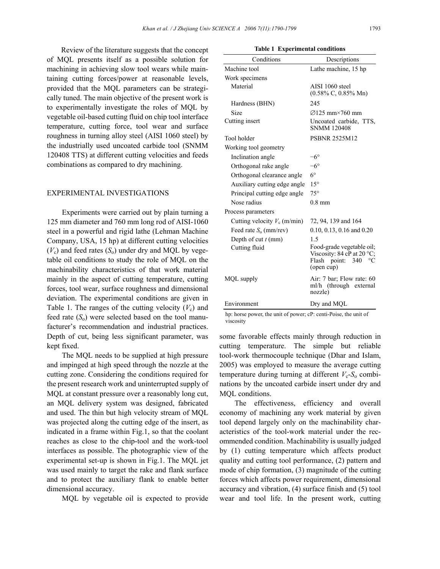Review of the literature suggests that the concept of MQL presents itself as a possible solution for machining in achieving slow tool wears while maintaining cutting forces/power at reasonable levels, provided that the MQL parameters can be strategically tuned. The main objective of the present work is to experimentally investigate the roles of MQL by vegetable oil-based cutting fluid on chip tool interface temperature, cutting force, tool wear and surface roughness in turning alloy steel (AISI 1060 steel) by the industrially used uncoated carbide tool (SNMM 120408 TTS) at different cutting velocities and feeds combinations as compared to dry machining.

## EXPERIMENTAL INVESTIGATIONS

Experiments were carried out by plain turning a 125 mm diameter and 760 mm long rod of AISI-1060 steel in a powerful and rigid lathe (Lehman Machine Company, USA, 15 hp) at different cutting velocities  $(V_c)$  and feed rates  $(S_o)$  under dry and MQL by vegetable oil conditions to study the role of MQL on the machinability characteristics of that work material mainly in the aspect of cutting temperature, cutting forces, tool wear, surface roughness and dimensional deviation. The experimental conditions are given in Table 1. The ranges of the cutting velocity  $(V_c)$  and feed rate  $(S_0)$  were selected based on the tool manufacturer's recommendation and industrial practices. Depth of cut, being less significant parameter, was kept fixed.

The MQL needs to be supplied at high pressure and impinged at high speed through the nozzle at the cutting zone. Considering the conditions required for the present research work and uninterrupted supply of MQL at constant pressure over a reasonably long cut, an MQL delivery system was designed, fabricated and used. The thin but high velocity stream of MQL was projected along the cutting edge of the insert, as indicated in a frame within Fig.1, so that the coolant reaches as close to the chip-tool and the work-tool interfaces as possible. The photographic view of the experimental set-up is shown in Fig.1. The MQL jet was used mainly to target the rake and flank surface and to protect the auxiliary flank to enable better dimensional accuracy.

MQL by vegetable oil is expected to provide

| Conditions                     | Descriptions                                                                                                       |  |  |
|--------------------------------|--------------------------------------------------------------------------------------------------------------------|--|--|
| Machine tool                   | Lathe machine, 15 hp                                                                                               |  |  |
| Work specimens                 |                                                                                                                    |  |  |
| Material                       | AISI 1060 steel<br>$(0.58\% C, 0.85\% Mn)$                                                                         |  |  |
| Hardness (BHN)                 | 245                                                                                                                |  |  |
| Size                           | $\varnothing$ 125 mm×760 mm                                                                                        |  |  |
| Cutting insert                 | Uncoated carbide, TTS,<br><b>SNMM 120408</b>                                                                       |  |  |
| Tool holder                    | <b>PSBNR 2525M12</b>                                                                                               |  |  |
| Working tool geometry          |                                                                                                                    |  |  |
| Inclination angle              | $-6^{\circ}$                                                                                                       |  |  |
| Orthogonal rake angle          | $-6^{\circ}$                                                                                                       |  |  |
| Orthogonal clearance angle     | $6^{\circ}$                                                                                                        |  |  |
| Auxiliary cutting edge angle   | $15^{\circ}$                                                                                                       |  |  |
| Principal cutting edge angle   | $75^{\circ}$                                                                                                       |  |  |
| Nose radius                    | $0.8 \text{ mm}$                                                                                                   |  |  |
| Process parameters             |                                                                                                                    |  |  |
| Cutting velocity $V_c$ (m/min) | 72, 94, 139 and 164                                                                                                |  |  |
| Feed rate $S_0$ (mm/rev)       | $0.10, 0.13, 0.16$ and $0.20$                                                                                      |  |  |
| Depth of cut $t$ (mm)          | 1.5                                                                                                                |  |  |
| Cutting fluid                  | Food-grade vegetable oil;<br>Viscosity: 84 cP at 20 °C;<br>$\rm ^{\circ}C$<br>point:<br>Flash<br>340<br>(open cup) |  |  |
| MQL supply                     | Air: 7 bar; Flow rate: 60<br>ml/h (through external<br>nozzle)                                                     |  |  |
| Environment                    | Dry and MQL                                                                                                        |  |  |

hp: horse power, the unit of power; cP: centi-Poise, the unit of viscosity

some favorable effects mainly through reduction in cutting temperature. The simple but reliable tool-work thermocouple technique (Dhar and Islam, 2005) was employed to measure the average cutting temperature during turning at different  $V_c$ - $S_o$  combinations by the uncoated carbide insert under dry and MQL conditions.

The effectiveness, efficiency and overall economy of machining any work material by given tool depend largely only on the machinability characteristics of the tool-work material under the recommended condition. Machinability is usually judged by (1) cutting temperature which affects product quality and cutting tool performance, (2) pattern and mode of chip formation, (3) magnitude of the cutting forces which affects power requirement, dimensional accuracy and vibration, (4) surface finish and (5) tool wear and tool life. In the present work, cutting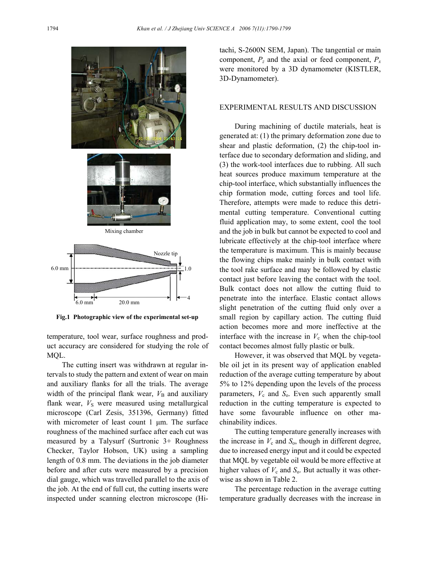

**Fig.1 Photographic view of the experimental set-up** 

temperature, tool wear, surface roughness and product accuracy are considered for studying the role of MQL.

The cutting insert was withdrawn at regular intervals to study the pattern and extent of wear on main and auxiliary flanks for all the trials. The average width of the principal flank wear,  $V<sub>B</sub>$  and auxiliary flank wear,  $V<sub>S</sub>$  were measured using metallurgical microscope (Carl Zesis, 351396, Germany) fitted with micrometer of least count 1 µm. The surface roughness of the machined surface after each cut was measured by a Talysurf (Surtronic 3+ Roughness Checker, Taylor Hobson, UK) using a sampling length of 0.8 mm. The deviations in the job diameter before and after cuts were measured by a precision dial gauge, which was travelled parallel to the axis of the job. At the end of full cut, the cutting inserts were inspected under scanning electron microscope (Hitachi, S-2600N SEM, Japan). The tangential or main component,  $P_z$  and the axial or feed component,  $P_x$ were monitored by a 3D dynamometer (KISTLER, 3D-Dynamometer).

## EXPERIMENTAL RESULTS AND DISCUSSION

During machining of ductile materials, heat is generated at: (1) the primary deformation zone due to shear and plastic deformation, (2) the chip-tool interface due to secondary deformation and sliding, and (3) the work-tool interfaces due to rubbing. All such heat sources produce maximum temperature at the chip-tool interface, which substantially influences the chip formation mode, cutting forces and tool life. Therefore, attempts were made to reduce this detrimental cutting temperature. Conventional cutting fluid application may, to some extent, cool the tool and the job in bulk but cannot be expected to cool and lubricate effectively at the chip-tool interface where the temperature is maximum. This is mainly because the flowing chips make mainly in bulk contact with the tool rake surface and may be followed by elastic contact just before leaving the contact with the tool. Bulk contact does not allow the cutting fluid to penetrate into the interface. Elastic contact allows slight penetration of the cutting fluid only over a small region by capillary action. The cutting fluid action becomes more and more ineffective at the interface with the increase in  $V_c$  when the chip-tool contact becomes almost fully plastic or bulk.

However, it was observed that MQL by vegetable oil jet in its present way of application enabled reduction of the average cutting temperature by about 5% to 12% depending upon the levels of the process parameters,  $V_c$  and  $S_o$ . Even such apparently small reduction in the cutting temperature is expected to have some favourable influence on other machinability indices.

The cutting temperature generally increases with the increase in  $V_c$  and  $S_o$ , though in different degree, due to increased energy input and it could be expected that MQL by vegetable oil would be more effective at higher values of  $V_c$  and  $S_o$ . But actually it was otherwise as shown in Table 2.

The percentage reduction in the average cutting temperature gradually decreases with the increase in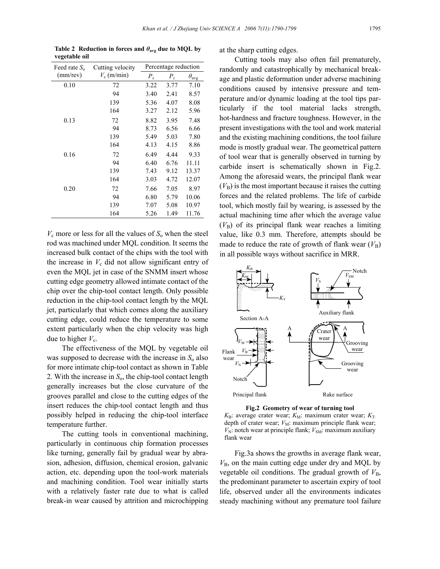| Feed rate $S_0$ | Cutting velocity<br>$V_c$ (m/min) | Percentage reduction |       |                       |
|-----------------|-----------------------------------|----------------------|-------|-----------------------|
| $(mm$ /rev)     |                                   | $P_{x}$              | $P_z$ | $\theta_{\text{avg}}$ |
| 0.10            | 72                                | 3.22                 | 3.77  | 7.10                  |
|                 | 94                                | 3.40                 | 2.41  | 8.57                  |
|                 | 139                               | 5.36                 | 4.07  | 8.08                  |
|                 | 164                               | 3.27                 | 2.12  | 5.96                  |
| 0.13            | 72                                | 8.82                 | 3.95  | 7.48                  |
|                 | 94                                | 8.73                 | 6.56  | 6.66                  |
|                 | 139                               | 5.49                 | 5.03  | 7.80                  |
|                 | 164                               | 4.13                 | 4.15  | 8.86                  |
| 0.16            | 72                                | 6.49                 | 4.44  | 9.33                  |
|                 | 94                                | 6.40                 | 6.76  | 11.11                 |
|                 | 139                               | 7.43                 | 9.12  | 13.37                 |
|                 | 164                               | 3.03                 | 4.72  | 12.07                 |
| 0.20            | 72                                | 7.66                 | 7.05  | 8.97                  |
|                 | 94                                | 6.80                 | 5.79  | 10.06                 |
|                 | 139                               | 7.07                 | 5.08  | 10.97                 |
|                 | 164                               | 5.26                 | 1.49  | 11.76                 |

Table 2 Reduction in forces and  $\theta_{\text{avg}}$  due to MQL by **vegetable oil** 

 $V_c$  more or less for all the values of  $S_o$  when the steel rod was machined under MQL condition. It seems the increased bulk contact of the chips with the tool with the increase in  $V_c$  did not allow significant entry of even the MQL jet in case of the SNMM insert whose cutting edge geometry allowed intimate contact of the chip over the chip-tool contact length. Only possible reduction in the chip-tool contact length by the MQL jet, particularly that which comes along the auxiliary cutting edge, could reduce the temperature to some extent particularly when the chip velocity was high due to higher  $V_c$ .

The effectiveness of the MQL by vegetable oil was supposed to decrease with the increase in  $S_0$  also for more intimate chip-tool contact as shown in Table 2. With the increase in  $S_0$ , the chip-tool contact length generally increases but the close curvature of the grooves parallel and close to the cutting edges of the insert reduces the chip-tool contact length and thus possibly helped in reducing the chip-tool interface temperature further.

The cutting tools in conventional machining, particularly in continuous chip formation processes like turning, generally fail by gradual wear by abrasion, adhesion, diffusion, chemical erosion, galvanic action, etc. depending upon the tool-work materials and machining condition. Tool wear initially starts with a relatively faster rate due to what is called break-in wear caused by attrition and microchipping at the sharp cutting edges.

Cutting tools may also often fail prematurely, randomly and catastrophically by mechanical breakage and plastic deformation under adverse machining conditions caused by intensive pressure and temperature and/or dynamic loading at the tool tips particularly if the tool material lacks strength, hot-hardness and fracture toughness. However, in the present investigations with the tool and work material and the existing machining conditions, the tool failure mode is mostly gradual wear. The geometrical pattern of tool wear that is generally observed in turning by carbide insert is schematically shown in Fig.2. Among the aforesaid wears, the principal flank wear  $(V<sub>B</sub>)$  is the most important because it raises the cutting forces and the related problems. The life of carbide tool, which mostly fail by wearing, is assessed by the actual machining time after which the average value  $(V<sub>B</sub>)$  of its principal flank wear reaches a limiting value, like 0.3 mm. Therefore, attempts should be made to reduce the rate of growth of flank wear  $(V_B)$ in all possible ways without sacrifice in MRR.



**Fig.2 Geometry of wear of turning tool**   $K_{\rm B}$ : average crater wear;  $K_{\rm M}$ : maximum crater wear;  $K_{\rm T}$ depth of crater wear;  $V_M$ : maximum principle flank wear;  $V_N$ : notch wear at principle flank;  $V_{SM}$ : maximum auxiliary flank wear

Fig.3a shows the growths in average flank wear,  $V_{\text{B}}$ , on the main cutting edge under dry and MQL by vegetable oil conditions. The gradual growth of  $V_{\text{B}}$ , the predominant parameter to ascertain expiry of tool life, observed under all the environments indicates steady machining without any premature tool failure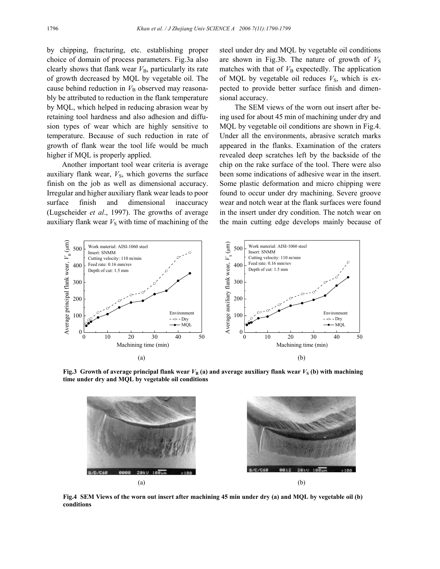by chipping, fracturing, etc. establishing proper choice of domain of process parameters. Fig.3a also clearly shows that flank wear  $V_{\text{B}}$ , particularly its rate of growth decreased by MQL by vegetable oil. The cause behind reduction in  $V<sub>B</sub>$  observed may reasonably be attributed to reduction in the flank temperature by MQL, which helped in reducing abrasion wear by retaining tool hardness and also adhesion and diffusion types of wear which are highly sensitive to temperature. Because of such reduction in rate of growth of flank wear the tool life would be much higher if MQL is properly applied.

Another important tool wear criteria is average auxiliary flank wear,  $V<sub>S</sub>$ , which governs the surface finish on the job as well as dimensional accuracy. Irregular and higher auxiliary flank wear leads to poor surface finish and dimensional inaccuracy (Lugscheider *et al*., 1997). The growths of average auxiliary flank wear  $V<sub>S</sub>$  with time of machining of the steel under dry and MQL by vegetable oil conditions are shown in Fig.3b. The nature of growth of  $V<sub>S</sub>$ matches with that of  $V<sub>B</sub>$  expectedly. The application of MQL by vegetable oil reduces  $V<sub>S</sub>$ , which is expected to provide better surface finish and dimensional accuracy.

The SEM views of the worn out insert after being used for about 45 min of machining under dry and MQL by vegetable oil conditions are shown in Fig.4. Under all the environments, abrasive scratch marks appeared in the flanks. Examination of the craters revealed deep scratches left by the backside of the chip on the rake surface of the tool. There were also been some indications of adhesive wear in the insert. Some plastic deformation and micro chipping were found to occur under dry machining. Severe groove wear and notch wear at the flank surfaces were found in the insert under dry condition. The notch wear on the main cutting edge develops mainly because of



**Fig.3** Growth of average principal flank wear  $V_B$  (a) and average auxiliary flank wear  $V_S$  (b) with machining **time under dry and MQL by vegetable oil conditions** 



**Fig.4 SEM Views of the worn out insert after machining 45 min under dry (a) and MQL by vegetable oil (b) conditions**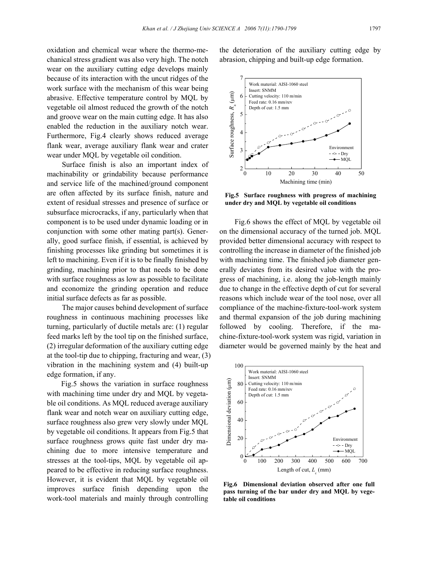oxidation and chemical wear where the thermo-mechanical stress gradient was also very high. The notch wear on the auxiliary cutting edge develops mainly because of its interaction with the uncut ridges of the work surface with the mechanism of this wear being abrasive. Effective temperature control by MQL by vegetable oil almost reduced the growth of the notch and groove wear on the main cutting edge. It has also enabled the reduction in the auxiliary notch wear. Furthermore, Fig.4 clearly shows reduced average flank wear, average auxiliary flank wear and crater wear under MQL by vegetable oil condition.

Surface finish is also an important index of machinability or grindability because performance and service life of the machined/ground component are often affected by its surface finish, nature and extent of residual stresses and presence of surface or subsurface microcracks, if any, particularly when that component is to be used under dynamic loading or in conjunction with some other mating part(s). Generally, good surface finish, if essential, is achieved by finishing processes like grinding but sometimes it is left to machining. Even if it is to be finally finished by grinding, machining prior to that needs to be done with surface roughness as low as possible to facilitate and economize the grinding operation and reduce initial surface defects as far as possible.

The major causes behind development of surface roughness in continuous machining processes like turning, particularly of ductile metals are: (1) regular feed marks left by the tool tip on the finished surface, (2) irregular deformation of the auxiliary cutting edge at the tool-tip due to chipping, fracturing and wear, (3) vibration in the machining system and (4) built-up edge formation, if any.

Fig.5 shows the variation in surface roughness with machining time under dry and MQL by vegetable oil conditions. As MQL reduced average auxiliary flank wear and notch wear on auxiliary cutting edge, surface roughness also grew very slowly under MQL by vegetable oil conditions. It appears from Fig.5 that surface roughness grows quite fast under dry machining due to more intensive temperature and stresses at the tool-tips, MQL by vegetable oil appeared to be effective in reducing surface roughness. However, it is evident that MQL by vegetable oil improves surface finish depending upon the work-tool materials and mainly through controlling the deterioration of the auxiliary cutting edge by abrasion, chipping and built-up edge formation.



**Fig.5 Surface roughness with progress of machining under dry and MQL by vegetable oil conditions** 

Fig.6 shows the effect of MQL by vegetable oil on the dimensional accuracy of the turned job. MQL provided better dimensional accuracy with respect to controlling the increase in diameter of the finished job with machining time. The finished job diameter generally deviates from its desired value with the progress of machining, i.e. along the job-length mainly due to change in the effective depth of cut for several reasons which include wear of the tool nose, over all compliance of the machine-fixture-tool-work system and thermal expansion of the job during machining followed by cooling. Therefore, if the machine-fixture-tool-work system was rigid, variation in diameter would be governed mainly by the heat and



**Fig.6 Dimensional deviation observed after one full pass turning of the bar under dry and MQL by vegetable oil conditions**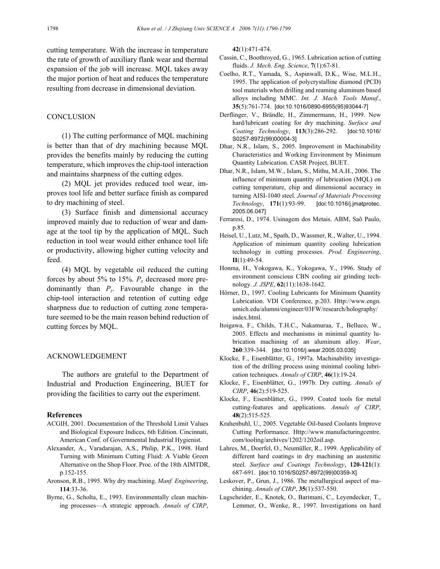cutting temperature. With the increase in temperature the rate of growth of auxiliary flank wear and thermal expansion of the job will increase. MQL takes away the major portion of heat and reduces the temperature resulting from decrease in dimensional deviation.

## **CONCLUSION**

(1) The cutting performance of MQL machining is better than that of dry machining because MQL provides the benefits mainly by reducing the cutting temperature, which improves the chip-tool interaction and maintains sharpness of the cutting edges.

(2) MQL jet provides reduced tool wear, improves tool life and better surface finish as compared to dry machining of steel.

(3) Surface finish and dimensional accuracy improved mainly due to reduction of wear and damage at the tool tip by the application of MQL. Such reduction in tool wear would either enhance tool life or productivity, allowing higher cutting velocity and feed.

(4) MQL by vegetable oil reduced the cutting forces by about 5% to 15%.  $P_x$  decreased more predominantly than *Pz*. Favourable change in the chip-tool interaction and retention of cutting edge sharpness due to reduction of cutting zone temperature seemed to be the main reason behind reduction of cutting forces by MQL.

## ACKNOWLEDGEMENT

The authors are grateful to the Department of Industrial and Production Engineering, BUET for providing the facilities to carry out the experiment.

## **References**

- ACGIH, 2001. Documentation of the Threshold Limit Values and Biological Exposure Indices, 6th Edition. Cincinnati, American Conf. of Governmental Industrial Hygienist.
- Alexander, A., Varadarajan, A.S., Philip, P.K., 1998. Hard Turning with Minimum Cutting Fluid: A Viable Green Alternative on the Shop Floor. Proc. of the 18th AIMTDR, p.152-155.
- Aronson, R.B., 1995. Why dry machining. *Manf. Engineering*, **114**:33-36.
- Byrne, G., Scholta, E., 1993. Environmentally clean machining processes—A strategic approach. *Annals of CIRP*,

**42**(1):471-474.

- Cassin, C., Boothroyed, G., 1965. Lubrication action of cutting fluids. *J. Mech. Eng. Science*, **7**(1):67-81.
- Coelho, R.T., Yamada, S., Aspinwall, D.K., Wise, M.L.H., 1995. The application of polycrystalline diamond (PCD) tool materials when drilling and reaming aluminum based alloys including MMC. *Int. J. Mach. Tools Manuf.*, **35**(5):761-774. [doi:10.1016/0890-6955(95)93044-7]
- Derflinger, V., Brändle, H., Zimmermann, H., 1999. New hard/lubricant coating for dry machining. *Surface and Coating Technology*, **113**(3):286-292. [doi:10.1016/ S0257-8972(99)00004-3]
- Dhar, N.R., Islam, S., 2005. Improvement in Machinability Characteristics and Working Environment by Minimum Quantity Lubrication. CASR Project, BUET.
- Dhar, N.R., Islam, M.W., Islam, S., Mithu, M.A.H., 2006. The influence of minimum quantity of lubrication (MQL) on cutting temperature, chip and dimensional accuracy in turning AISI-1040 steel. *Journal of Materials Processing Technology*, **171**(1):93-99. [doi:10.1016/j.jmatprotec. 2005.06.047]
- Ferraresi, D., 1974. Usinagem dos Metais. ABM, Saõ Paulo, p.85.
- Heisel, U., Lutz, M., Spath, D., Wassmer, R., Walter, U., 1994. Application of minimum quantity cooling lubrication technology in cutting processes. *Prod. Engineering*, **II**(1):49-54.
- Honma, H., Yokogawa, K., Yokogawa, Y., 1996. Study of environment conscious CBN cooling air grinding technology. *J. JSPE*, **62**(11):1638-1642.
- Hörner, D., 1997. Cooling Lubricants for Minimum Quantity Lubrication. VDI Conference, p.203. Http://www.engn. umich.edu/alumni/engineer/03FW/research/holography/ index.html.
- Itoigawa, F., Childs, T.H.C., Nakamuraa, T., Belluco, W., 2005. Effects and mechanisms in minimal quantity lubrication machining of an aluminum alloy. *Wear*, **260**:339-344. [doi:10.1016/j.wear.2005.03.035]
- Klocke, F., Eisenblätter, G., 1997a. Machinability investigation of the drilling process using minimal cooling lubrication techniques. *Annals of CIRP*, **46**(1):19-24.
- Klocke, F., Eisenblätter, G., 1997b. Dry cutting. *Annals of CIRP*, **46**(2):519-525.
- Klocke, F., Eisenblätter, G., 1999. Coated tools for metal cutting-features and applications. *Annals of CIRP*, **48**(2):515-525.
- Krahenbuhl, U., 2005. Vegetable Oil-based Coolants Improve Cutting Performance. Http://www.manufacturingcentre. com/tooling/archives/1202/1202oil.asp.
- Lahres, M., Doerfel, O., Neumüller, R., 1999. Applicability of different hard coatings in dry machining an austenitic steel. *Surface and Coatings Technology*, **120-121**(1): 687-691. [doi:10.1016/S0257-8972(99)00359-X]
- Leskover, P., Grun, J., 1986. The metallurgical aspect of machining. *Annals of CIRP*, **35**(1):537-550.
- Lugscheider, E., Knotek, O., Barimani, C., Leyendecker, T., Lemmer, O., Wenke, R., 1997. Investigations on hard